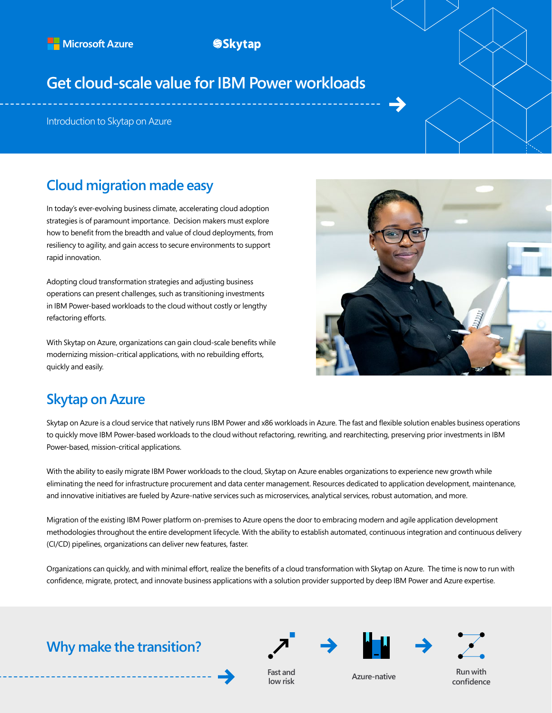## **SSkytap**

# **Get cloud-scale value for IBM Power workloads**

Introduction to Skytap on Azure

## **Cloud migration made easy**

In today's ever-evolving business climate, accelerating cloud adoption strategies is of paramount importance. Decision makers must explore how to benefit from the breadth and value of cloud deployments, from resiliency to agility, and gain access to secure environments to support rapid innovation.

Adopting cloud transformation strategies and adjusting business operations can present challenges, such as transitioning investments in IBM Power-based workloads to the cloud without costly or lengthy refactoring efforts.

With Skytap on Azure, organizations can gain cloud-scale benefits while modernizing mission-critical applications, with no rebuilding efforts, quickly and easily.



## **Skytap on Azure**

Skytap on Azure is a cloud service that natively runs IBM Power and x86 workloads in Azure. The fast and flexible solution enables business operations to quickly move IBM Power-based workloads to the cloud without refactoring, rewriting, and rearchitecting, preserving prior investments in IBM Power-based, mission-critical applications.

With the ability to easily migrate IBM Power workloads to the cloud, Skytap on Azure enables organizations to experience new growth while eliminating the need for infrastructure procurement and data center management. Resources dedicated to application development, maintenance, and innovative initiatives are fueled by Azure-native services such as microservices, analytical services, robust automation, and more.

Migration of the existing IBM Power platform on-premises to Azure opens the door to embracing modern and agile application development methodologies throughout the entire development lifecycle. With the ability to establish automated, continuous integration and continuous delivery (CI/CD) pipelines, organizations can deliver new features, faster.

Organizations can quickly, and with minimal effort, realize the benefits of a cloud transformation with Skytap on Azure. The time is now to run with confidence, migrate, protect, and innovate business applications with a solution provider supported by deep IBM Power and Azure expertise.

**Why make the transition?**









**low risk Azure-native Run with Azure-native Run with Run with Run with confidence**

**Fast and**